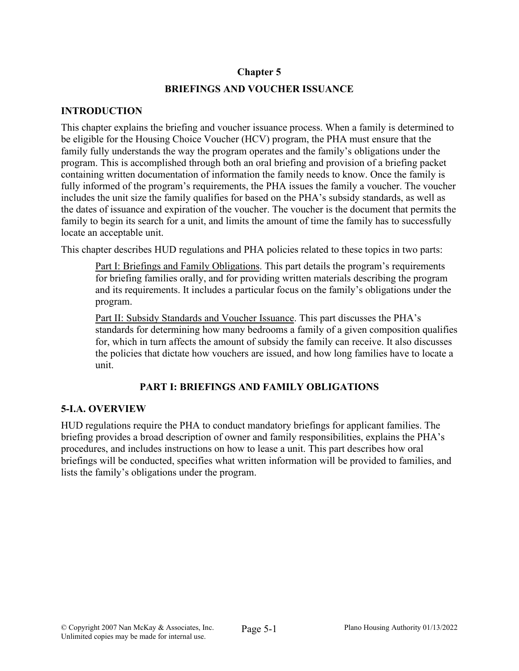#### **Chapter 5**

### **BRIEFINGS AND VOUCHER ISSUANCE**

### **INTRODUCTION**

This chapter explains the briefing and voucher issuance process. When a family is determined to be eligible for the Housing Choice Voucher (HCV) program, the PHA must ensure that the family fully understands the way the program operates and the family's obligations under the program. This is accomplished through both an oral briefing and provision of a briefing packet containing written documentation of information the family needs to know. Once the family is fully informed of the program's requirements, the PHA issues the family a voucher. The voucher includes the unit size the family qualifies for based on the PHA's subsidy standards, as well as the dates of issuance and expiration of the voucher. The voucher is the document that permits the family to begin its search for a unit, and limits the amount of time the family has to successfully locate an acceptable unit.

This chapter describes HUD regulations and PHA policies related to these topics in two parts:

Part I: Briefings and Family Obligations. This part details the program's requirements for briefing families orally, and for providing written materials describing the program and its requirements. It includes a particular focus on the family's obligations under the program.

Part II: Subsidy Standards and Voucher Issuance. This part discusses the PHA's standards for determining how many bedrooms a family of a given composition qualifies for, which in turn affects the amount of subsidy the family can receive. It also discusses the policies that dictate how vouchers are issued, and how long families have to locate a unit.

# **PART I: BRIEFINGS AND FAMILY OBLIGATIONS**

### **5-I.A. OVERVIEW**

HUD regulations require the PHA to conduct mandatory briefings for applicant families. The briefing provides a broad description of owner and family responsibilities, explains the PHA's procedures, and includes instructions on how to lease a unit. This part describes how oral briefings will be conducted, specifies what written information will be provided to families, and lists the family's obligations under the program.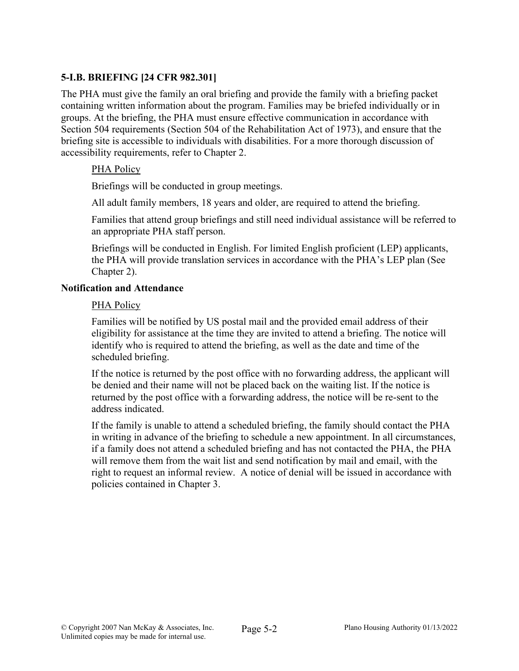## **5-I.B. BRIEFING [24 CFR 982.301]**

The PHA must give the family an oral briefing and provide the family with a briefing packet containing written information about the program. Families may be briefed individually or in groups. At the briefing, the PHA must ensure effective communication in accordance with Section 504 requirements (Section 504 of the Rehabilitation Act of 1973), and ensure that the briefing site is accessible to individuals with disabilities. For a more thorough discussion of accessibility requirements, refer to Chapter 2.

#### PHA Policy

Briefings will be conducted in group meetings.

All adult family members, 18 years and older, are required to attend the briefing.

Families that attend group briefings and still need individual assistance will be referred to an appropriate PHA staff person.

Briefings will be conducted in English. For limited English proficient (LEP) applicants, the PHA will provide translation services in accordance with the PHA's LEP plan (See Chapter 2).

#### **Notification and Attendance**

#### PHA Policy

Families will be notified by US postal mail and the provided email address of their eligibility for assistance at the time they are invited to attend a briefing. The notice will identify who is required to attend the briefing, as well as the date and time of the scheduled briefing.

If the notice is returned by the post office with no forwarding address, the applicant will be denied and their name will not be placed back on the waiting list. If the notice is returned by the post office with a forwarding address, the notice will be re-sent to the address indicated.

If the family is unable to attend a scheduled briefing, the family should contact the PHA in writing in advance of the briefing to schedule a new appointment. In all circumstances, if a family does not attend a scheduled briefing and has not contacted the PHA, the PHA will remove them from the wait list and send notification by mail and email, with the right to request an informal review. A notice of denial will be issued in accordance with policies contained in Chapter 3.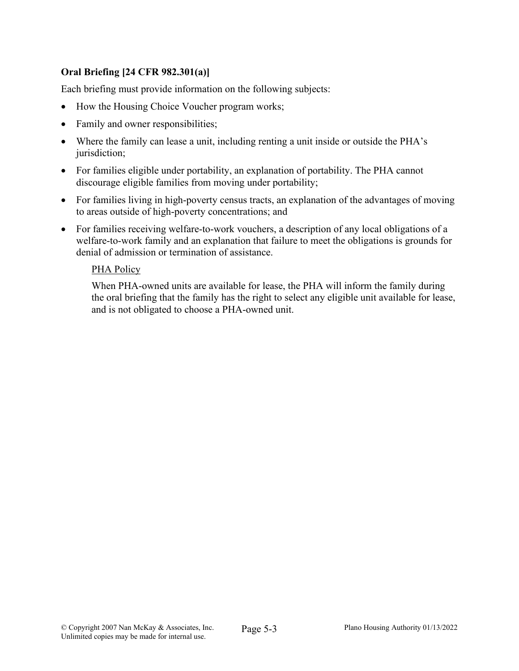# **Oral Briefing [24 CFR 982.301(a)]**

Each briefing must provide information on the following subjects:

- How the Housing Choice Voucher program works;
- Family and owner responsibilities;
- Where the family can lease a unit, including renting a unit inside or outside the PHA's jurisdiction;
- For families eligible under portability, an explanation of portability. The PHA cannot discourage eligible families from moving under portability;
- For families living in high-poverty census tracts, an explanation of the advantages of moving to areas outside of high-poverty concentrations; and
- For families receiving welfare-to-work vouchers, a description of any local obligations of a welfare-to-work family and an explanation that failure to meet the obligations is grounds for denial of admission or termination of assistance.

#### PHA Policy

When PHA-owned units are available for lease, the PHA will inform the family during the oral briefing that the family has the right to select any eligible unit available for lease, and is not obligated to choose a PHA-owned unit.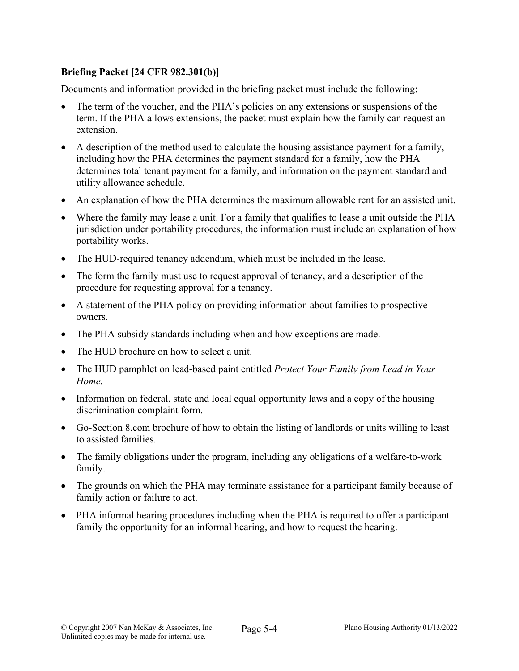# **Briefing Packet [24 CFR 982.301(b)]**

Documents and information provided in the briefing packet must include the following:

- The term of the voucher, and the PHA's policies on any extensions or suspensions of the term. If the PHA allows extensions, the packet must explain how the family can request an extension.
- A description of the method used to calculate the housing assistance payment for a family, including how the PHA determines the payment standard for a family, how the PHA determines total tenant payment for a family, and information on the payment standard and utility allowance schedule.
- An explanation of how the PHA determines the maximum allowable rent for an assisted unit.
- Where the family may lease a unit. For a family that qualifies to lease a unit outside the PHA jurisdiction under portability procedures, the information must include an explanation of how portability works.
- The HUD-required tenancy addendum, which must be included in the lease.
- The form the family must use to request approval of tenancy**,** and a description of the procedure for requesting approval for a tenancy.
- A statement of the PHA policy on providing information about families to prospective owners.
- The PHA subsidy standards including when and how exceptions are made.
- The HUD brochure on how to select a unit.
- The HUD pamphlet on lead-based paint entitled *Protect Your Family from Lead in Your Home.*
- Information on federal, state and local equal opportunity laws and a copy of the housing discrimination complaint form.
- Go-Section 8.com brochure of how to obtain the listing of landlords or units willing to least to assisted families.
- The family obligations under the program, including any obligations of a welfare-to-work family.
- The grounds on which the PHA may terminate assistance for a participant family because of family action or failure to act.
- PHA informal hearing procedures including when the PHA is required to offer a participant family the opportunity for an informal hearing, and how to request the hearing.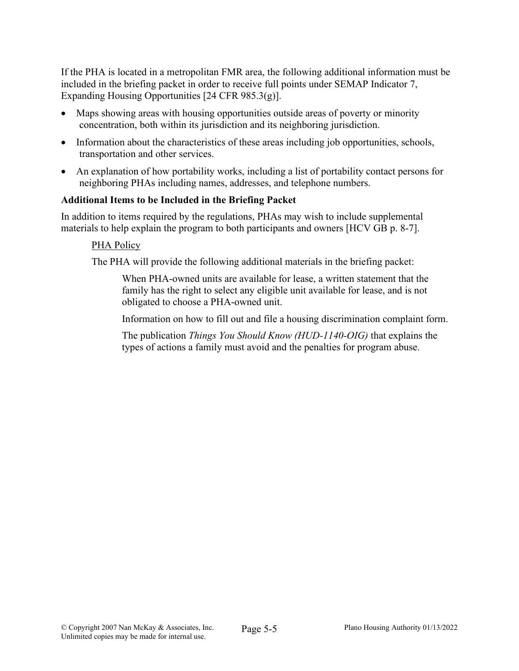If the PHA is located in a metropolitan FMR area, the following additional information must be included in the briefing packet in order to receive full points under SEMAP Indicator 7, Expanding Housing Opportunities [24 CFR 985.3(g)].

- Maps showing areas with housing opportunities outside areas of poverty or minority concentration, both within its jurisdiction and its neighboring jurisdiction.
- Information about the characteristics of these areas including job opportunities, schools, transportation and other services.
- An explanation of how portability works, including a list of portability contact persons for neighboring PHAs including names, addresses, and telephone numbers.

### **Additional Items to be Included in the Briefing Packet**

In addition to items required by the regulations, PHAs may wish to include supplemental materials to help explain the program to both participants and owners [HCV GB p. 8-7].

### PHA Policy

The PHA will provide the following additional materials in the briefing packet:

When PHA-owned units are available for lease, a written statement that the family has the right to select any eligible unit available for lease, and is not obligated to choose a PHA-owned unit.

Information on how to fill out and file a housing discrimination complaint form.

The publication *Things You Should Know (HUD-1140-OIG)* that explains the types of actions a family must avoid and the penalties for program abuse.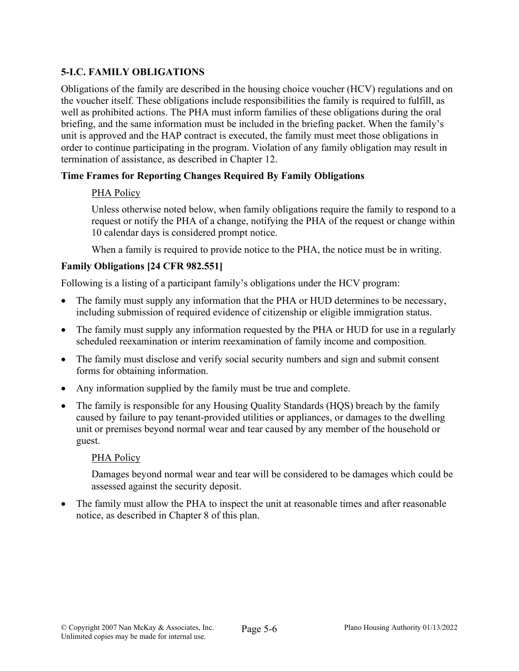# **5-I.C. FAMILY OBLIGATIONS**

Obligations of the family are described in the housing choice voucher (HCV) regulations and on the voucher itself. These obligations include responsibilities the family is required to fulfill, as well as prohibited actions. The PHA must inform families of these obligations during the oral briefing, and the same information must be included in the briefing packet. When the family's unit is approved and the HAP contract is executed, the family must meet those obligations in order to continue participating in the program. Violation of any family obligation may result in termination of assistance, as described in Chapter 12.

### **Time Frames for Reporting Changes Required By Family Obligations**

### PHA Policy

Unless otherwise noted below, when family obligations require the family to respond to a request or notify the PHA of a change, notifying the PHA of the request or change within 10 calendar days is considered prompt notice.

When a family is required to provide notice to the PHA, the notice must be in writing.

### **Family Obligations [24 CFR 982.551]**

Following is a listing of a participant family's obligations under the HCV program:

- The family must supply any information that the PHA or HUD determines to be necessary, including submission of required evidence of citizenship or eligible immigration status.
- The family must supply any information requested by the PHA or HUD for use in a regularly scheduled reexamination or interim reexamination of family income and composition.
- The family must disclose and verify social security numbers and sign and submit consent forms for obtaining information.
- Any information supplied by the family must be true and complete.
- The family is responsible for any Housing Quality Standards (HQS) breach by the family caused by failure to pay tenant-provided utilities or appliances, or damages to the dwelling unit or premises beyond normal wear and tear caused by any member of the household or guest.

### PHA Policy

Damages beyond normal wear and tear will be considered to be damages which could be assessed against the security deposit.

• The family must allow the PHA to inspect the unit at reasonable times and after reasonable notice, as described in Chapter 8 of this plan.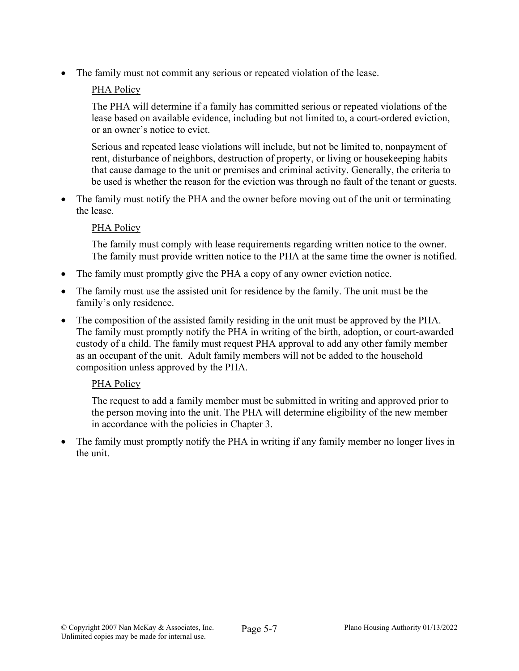The family must not commit any serious or repeated violation of the lease.

# PHA Policy

The PHA will determine if a family has committed serious or repeated violations of the lease based on available evidence, including but not limited to, a court-ordered eviction, or an owner's notice to evict.

Serious and repeated lease violations will include, but not be limited to, nonpayment of rent, disturbance of neighbors, destruction of property, or living or housekeeping habits that cause damage to the unit or premises and criminal activity. Generally, the criteria to be used is whether the reason for the eviction was through no fault of the tenant or guests.

• The family must notify the PHA and the owner before moving out of the unit or terminating the lease.

# PHA Policy

The family must comply with lease requirements regarding written notice to the owner. The family must provide written notice to the PHA at the same time the owner is notified.

- The family must promptly give the PHA a copy of any owner eviction notice.
- The family must use the assisted unit for residence by the family. The unit must be the family's only residence.
- The composition of the assisted family residing in the unit must be approved by the PHA. The family must promptly notify the PHA in writing of the birth, adoption, or court-awarded custody of a child. The family must request PHA approval to add any other family member as an occupant of the unit. Adult family members will not be added to the household composition unless approved by the PHA.

# PHA Policy

The request to add a family member must be submitted in writing and approved prior to the person moving into the unit. The PHA will determine eligibility of the new member in accordance with the policies in Chapter 3.

• The family must promptly notify the PHA in writing if any family member no longer lives in the unit.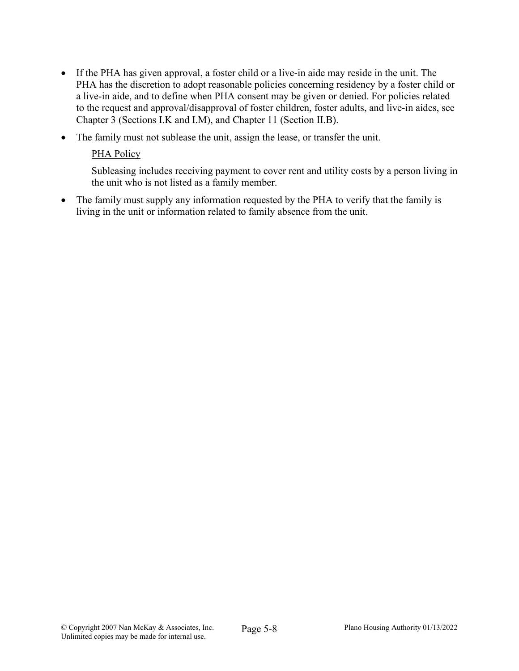- If the PHA has given approval, a foster child or a live-in aide may reside in the unit. The PHA has the discretion to adopt reasonable policies concerning residency by a foster child or a live-in aide, and to define when PHA consent may be given or denied. For policies related to the request and approval/disapproval of foster children, foster adults, and live-in aides, see Chapter 3 (Sections I.K and I.M), and Chapter 11 (Section II.B).
- The family must not sublease the unit, assign the lease, or transfer the unit.

### PHA Policy

Subleasing includes receiving payment to cover rent and utility costs by a person living in the unit who is not listed as a family member.

• The family must supply any information requested by the PHA to verify that the family is living in the unit or information related to family absence from the unit.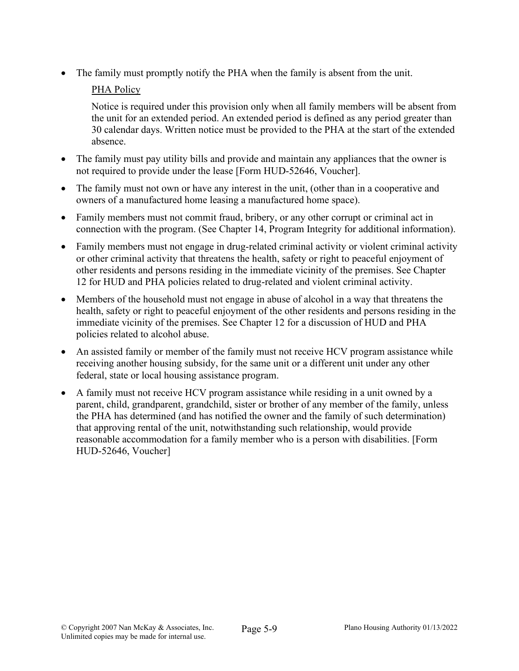The family must promptly notify the PHA when the family is absent from the unit.

# PHA Policy

Notice is required under this provision only when all family members will be absent from the unit for an extended period. An extended period is defined as any period greater than 30 calendar days. Written notice must be provided to the PHA at the start of the extended absence.

- The family must pay utility bills and provide and maintain any appliances that the owner is not required to provide under the lease [Form HUD-52646, Voucher].
- The family must not own or have any interest in the unit, (other than in a cooperative and owners of a manufactured home leasing a manufactured home space).
- Family members must not commit fraud, bribery, or any other corrupt or criminal act in connection with the program. (See Chapter 14, Program Integrity for additional information).
- Family members must not engage in drug-related criminal activity or violent criminal activity or other criminal activity that threatens the health, safety or right to peaceful enjoyment of other residents and persons residing in the immediate vicinity of the premises. See Chapter 12 for HUD and PHA policies related to drug-related and violent criminal activity.
- Members of the household must not engage in abuse of alcohol in a way that threatens the health, safety or right to peaceful enjoyment of the other residents and persons residing in the immediate vicinity of the premises. See Chapter 12 for a discussion of HUD and PHA policies related to alcohol abuse.
- An assisted family or member of the family must not receive HCV program assistance while receiving another housing subsidy, for the same unit or a different unit under any other federal, state or local housing assistance program.
- A family must not receive HCV program assistance while residing in a unit owned by a parent, child, grandparent, grandchild, sister or brother of any member of the family, unless the PHA has determined (and has notified the owner and the family of such determination) that approving rental of the unit, notwithstanding such relationship, would provide reasonable accommodation for a family member who is a person with disabilities. [Form HUD-52646, Voucher]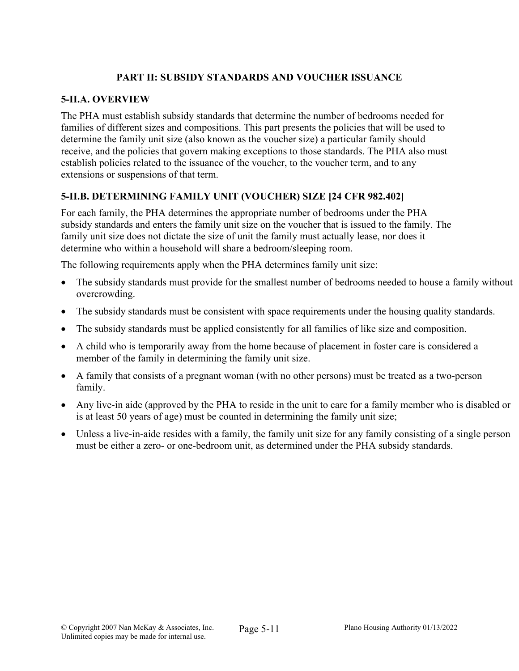### **PART II: SUBSIDY STANDARDS AND VOUCHER ISSUANCE**

### **5-II.A. OVERVIEW**

The PHA must establish subsidy standards that determine the number of bedrooms needed for families of different sizes and compositions. This part presents the policies that will be used to determine the family unit size (also known as the voucher size) a particular family should receive, and the policies that govern making exceptions to those standards. The PHA also must establish policies related to the issuance of the voucher, to the voucher term, and to any extensions or suspensions of that term.

# **5-II.B. DETERMINING FAMILY UNIT (VOUCHER) SIZE [24 CFR 982.402]**

For each family, the PHA determines the appropriate number of bedrooms under the PHA subsidy standards and enters the family unit size on the voucher that is issued to the family. The family unit size does not dictate the size of unit the family must actually lease, nor does it determine who within a household will share a bedroom/sleeping room.

The following requirements apply when the PHA determines family unit size:

- The subsidy standards must provide for the smallest number of bedrooms needed to house a family without overcrowding.
- The subsidy standards must be consistent with space requirements under the housing quality standards.
- The subsidy standards must be applied consistently for all families of like size and composition.
- A child who is temporarily away from the home because of placement in foster care is considered a member of the family in determining the family unit size.
- A family that consists of a pregnant woman (with no other persons) must be treated as a two-person family.
- Any live-in aide (approved by the PHA to reside in the unit to care for a family member who is disabled or is at least 50 years of age) must be counted in determining the family unit size;
- Unless a live-in-aide resides with a family, the family unit size for any family consisting of a single person must be either a zero- or one-bedroom unit, as determined under the PHA subsidy standards.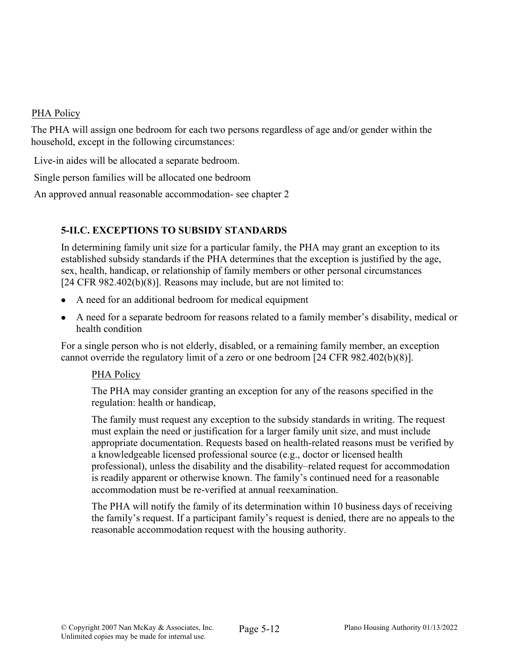### PHA Policy

The PHA will assign one bedroom for each two persons regardless of age and/or gender within the household, except in the following circumstances:

Live-in aides will be allocated a separate bedroom.

Single person families will be allocated one bedroom

An approved annual reasonable accommodation- see chapter 2

# **5-II.C. EXCEPTIONS TO SUBSIDY STANDARDS**

In determining family unit size for a particular family, the PHA may grant an exception to its established subsidy standards if the PHA determines that the exception is justified by the age, sex, health, handicap, or relationship of family members or other personal circumstances [24 CFR 982.402(b)(8)]. Reasons may include, but are not limited to:

- A need for an additional bedroom for medical equipment
- A need for a separate bedroom for reasons related to a family member's disability, medical or health condition

For a single person who is not elderly, disabled, or a remaining family member, an exception cannot override the regulatory limit of a zero or one bedroom [24 CFR 982.402(b)(8)].

# PHA Policy

The PHA may consider granting an exception for any of the reasons specified in the regulation: health or handicap,

The family must request any exception to the subsidy standards in writing. The request must explain the need or justification for a larger family unit size, and must include appropriate documentation. Requests based on health-related reasons must be verified by a knowledgeable licensed professional source (e.g., doctor or licensed health professional), unless the disability and the disability–related request for accommodation is readily apparent or otherwise known. The family's continued need for a reasonable accommodation must be re-verified at annual reexamination.

The PHA will notify the family of its determination within 10 business days of receiving the family's request. If a participant family's request is denied, there are no appeals to the reasonable accommodation request with the housing authority.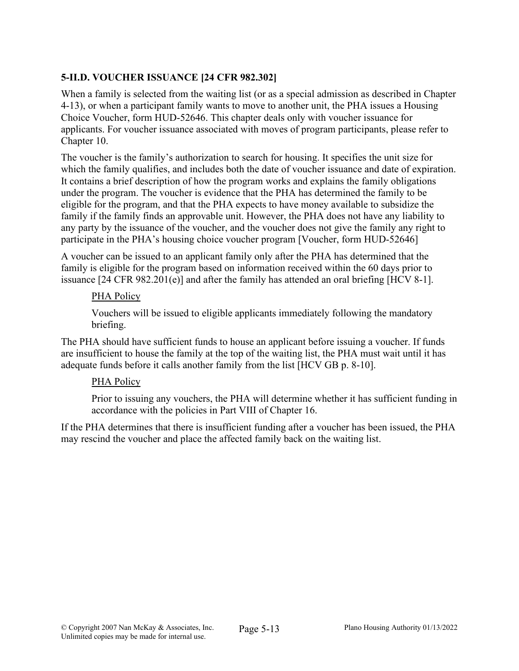# **5-II.D. VOUCHER ISSUANCE [24 CFR 982.302]**

When a family is selected from the waiting list (or as a special admission as described in Chapter 4-13), or when a participant family wants to move to another unit, the PHA issues a Housing Choice Voucher, form HUD-52646. This chapter deals only with voucher issuance for applicants. For voucher issuance associated with moves of program participants, please refer to Chapter 10.

The voucher is the family's authorization to search for housing. It specifies the unit size for which the family qualifies, and includes both the date of voucher issuance and date of expiration. It contains a brief description of how the program works and explains the family obligations under the program. The voucher is evidence that the PHA has determined the family to be eligible for the program, and that the PHA expects to have money available to subsidize the family if the family finds an approvable unit. However, the PHA does not have any liability to any party by the issuance of the voucher, and the voucher does not give the family any right to participate in the PHA's housing choice voucher program [Voucher, form HUD-52646]

A voucher can be issued to an applicant family only after the PHA has determined that the family is eligible for the program based on information received within the 60 days prior to issuance [24 CFR 982.201(e)] and after the family has attended an oral briefing [HCV 8-1].

### PHA Policy

Vouchers will be issued to eligible applicants immediately following the mandatory briefing.

The PHA should have sufficient funds to house an applicant before issuing a voucher. If funds are insufficient to house the family at the top of the waiting list, the PHA must wait until it has adequate funds before it calls another family from the list [HCV GB p. 8-10].

# PHA Policy

Prior to issuing any vouchers, the PHA will determine whether it has sufficient funding in accordance with the policies in Part VIII of Chapter 16.

If the PHA determines that there is insufficient funding after a voucher has been issued, the PHA may rescind the voucher and place the affected family back on the waiting list.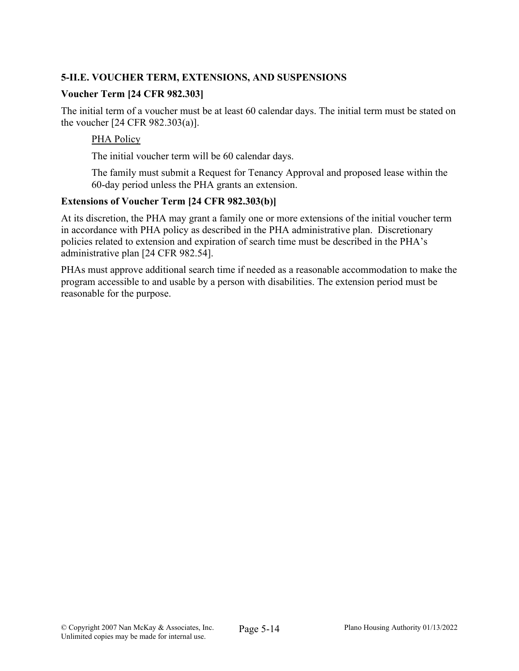### **5-II.E. VOUCHER TERM, EXTENSIONS, AND SUSPENSIONS**

#### **Voucher Term [24 CFR 982.303]**

The initial term of a voucher must be at least 60 calendar days. The initial term must be stated on the voucher [24 CFR 982.303(a)].

#### PHA Policy

The initial voucher term will be 60 calendar days.

The family must submit a Request for Tenancy Approval and proposed lease within the 60-day period unless the PHA grants an extension.

#### **Extensions of Voucher Term [24 CFR 982.303(b)]**

At its discretion, the PHA may grant a family one or more extensions of the initial voucher term in accordance with PHA policy as described in the PHA administrative plan. Discretionary policies related to extension and expiration of search time must be described in the PHA's administrative plan [24 CFR 982.54].

PHAs must approve additional search time if needed as a reasonable accommodation to make the program accessible to and usable by a person with disabilities. The extension period must be reasonable for the purpose.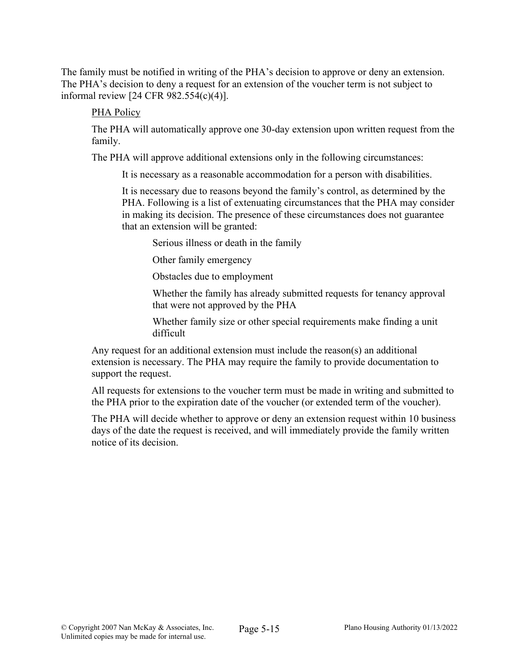The family must be notified in writing of the PHA's decision to approve or deny an extension. The PHA's decision to deny a request for an extension of the voucher term is not subject to informal review [24 CFR 982.554(c)(4)].

#### PHA Policy

The PHA will automatically approve one 30-day extension upon written request from the family.

The PHA will approve additional extensions only in the following circumstances:

It is necessary as a reasonable accommodation for a person with disabilities.

It is necessary due to reasons beyond the family's control, as determined by the PHA. Following is a list of extenuating circumstances that the PHA may consider in making its decision. The presence of these circumstances does not guarantee that an extension will be granted:

Serious illness or death in the family

Other family emergency

Obstacles due to employment

Whether the family has already submitted requests for tenancy approval that were not approved by the PHA

Whether family size or other special requirements make finding a unit difficult

Any request for an additional extension must include the reason(s) an additional extension is necessary. The PHA may require the family to provide documentation to support the request.

All requests for extensions to the voucher term must be made in writing and submitted to the PHA prior to the expiration date of the voucher (or extended term of the voucher).

The PHA will decide whether to approve or deny an extension request within 10 business days of the date the request is received, and will immediately provide the family written notice of its decision.